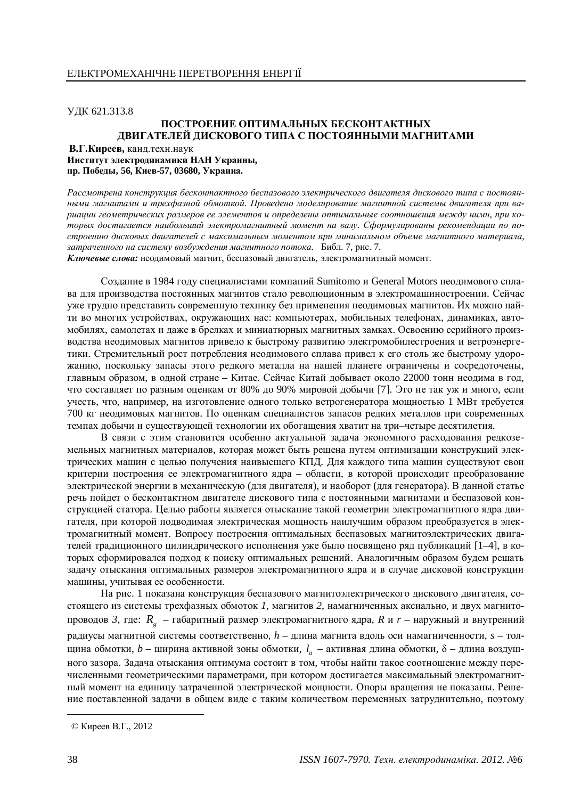ɍȾɄ 621.313.8

## ПОСТРОЕНИЕ ОПТИМАЛЬНЫХ БЕСКОНТАКТНЫХ ДВИГАТЕЛЕЙ ДИСКОВОГО ТИПА С ПОСТОЯННЫМИ МАГНИТАМИ

В.Г. Киреев, канд. техн. наук Институт электродинамики НАН Украины, пр. Победы, 56, Киев-57, 03680, Украина.

Рассмотрена конструкция бесконтактного беспазового электрического двигателя дискового типа с постоянными магнитами и трехфазной обмоткой. Проведено моделирование магнитной системы двигателя при ва*ɪɢɚɰɢɢɝɟɨɦɟɬɪɢɱɟɫɤɢɯɪɚɡɦɟɪɨɜɟɟɷɥɟɦɟɧɬɨɜɢɨɩɪɟɞɟɥɟɧɵɨɩɬɢɦɚɥɶɧɵɟɫɨɨɬɧɨɲɟɧɢɹɦɟɠɞɭɧɢɦɢ, ɩɪɢɤɨ*торых достигается наибольший электромагнитный момент на валу. Сформулированы рекомендации по построению дисковых двигателей с максимальным моментом при минимальном объеме магнитного материала, затраченного на систему возбуждения магнитного потока. Библ. 7, рис. 7.

Ключевые слова: неодимовый магнит, беспазовый двигатель, электромагнитный момент.

Создание в 1984 году специалистами компаний Sumitomo и General Motors неодимового сплава для производства постоянных магнитов стало революционным в электромашиностроении. Сейчас уже трудно представить современную технику без применения неодимовых магнитов. Их можно найти во многих устройствах, окружающих нас: компьютерах, мобильных телефонах, динамиках, автомобилях, самолетах и даже в брелках и миниатюрных магнитных замках. Освоению серийного производства неодимовых магнитов привело к быстрому развитию электромобилестроения и ветроэнергетики. Стремительный рост потребления неодимового сплава привел к его столь же быстрому удорожанию, поскольку запасы этого редкого металла на нашей планете ограничены и сосредоточены, главным образом, в одной стране – Китае. Сейчас Китай добывает около 22000 тонн неодима в год, что составляет по разным оценкам от 80% до 90% мировой добычи [7]. Это не так уж и много, если учесть, что, например, на изготовление одного только ветрогенератора мощностью 1 МВт требуется 700 кг неодимовых магнитов. По оценкам специалистов запасов редких металлов при современных темпах добычи и существующей технологии их обогащения хватит на три-четыре десятилетия.

В связи с этим становится особенно актуальной задача экономного расходования редкоземельных магнитных материалов, которая может быть решена путем оптимизации конструкций электрических машин с целью получения наивысшего КПД. Для каждого типа машин существуют свои критерии построения ее электромагнитного ядра – области, в которой происходит преобразование электрической энергии в механическую (для двигателя), и наоборот (для генератора). В данной статье речь пойдет о бесконтактном двигателе дискового типа с постоянными магнитами и беспазовой конструкцией статора. Целью работы является отыскание такой геометрии электромагнитного ядра двигателя, при которой подводимая электрическая мощность наилучшим образом преобразуется в электромагнитный момент. Вопросу построения оптимальных беспазовых магнитоэлектрических двигателей тралиционного цилиндрического исполнения уже было посвящено ряд публикаций [1–4], в которых сформировался подход к поиску оптимальных решений. Аналогичным образом будем решать задачу отыскания оптимальных размеров электромагнитного ядра и в случае дисковой конструкции машины, учитывая ее особенности.

На рис. 1 показана конструкция беспазового магнитоэлектрического дискового двигателя, состоящего из системы трехфазных обмоток 1, магнитов 2, намагниченных аксиально, и двух магнитопроводов 3, где:  $R_g$  – габаритный размер электромагнитного ядра, *R* и *r* – наружный и внутренний радиусы магнитной системы соответственно,  $h$  – длина магнита вдоль оси намагниченности,  $s$  – толщина обмотки, b – ширина активной зоны обмотки, l<sub>a</sub> – активная длина обмотки, δ – длина воздушного зазора. Залача отыскания оптимума состоит в том, чтобы найти такое соотношение межлу перечисленными геометрическими параметрами, при котором достигается максимальный электромагнитный момент на единицу затраченной электрической мощности. Опоры вращения не показаны. Решение поставленной задачи в общем виде с таким количеством переменных затруднительно, поэтому

<sup>©</sup> Киреев В.Г., 2012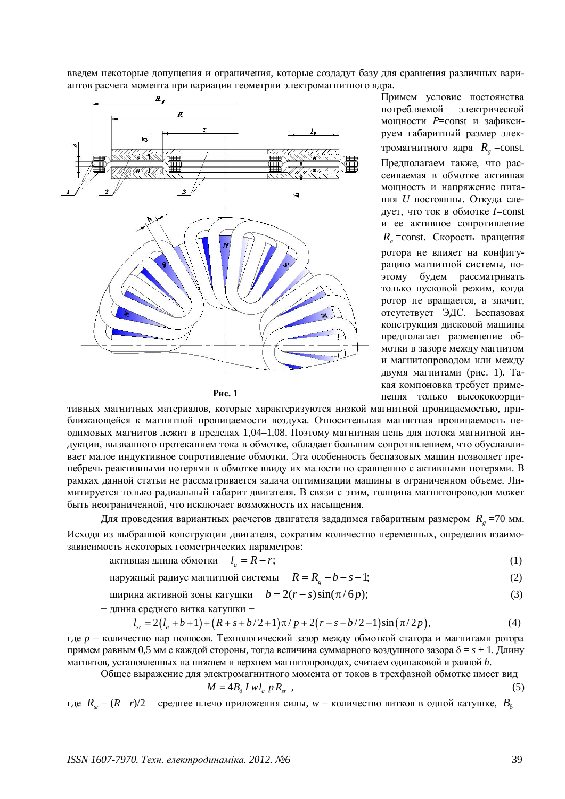введем некоторые допущения и ограничения, которые создадут базу для сравнения различных вариантов расчета момента при вариации геометрии электромагнитного ядра.



Pис. 1

Примем условие постоянства потребляемой электрической мощности P=const и зафиксируем габаритный размер электромагнитного ядра  $R_g$  =const. Предполагаем также, что рассеиваемая в обмотке активная мощность и напряжение питания *U* постоянны. Откуда следует, что ток в обмотке *I*=const и ее активное сопротивление  $R_a$  =const. Скорость вращения ротора не влияет на конфигурацию магнитной системы, поэтому будем рассматривать только пусковой режим, когда ротор не вращается, а значит, отсутствует ЭДС. Беспазовая конструкция дисковой машины предполагает размещение обмотки в зазоре между магнитом и магнитопроводом или между двумя магнитами (рис. 1). Такая компоновка требует применения только высококоэрци-

тивных магнитных материалов, которые характеризуются низкой магнитной проницаемостью, приближающейся к магнитной проницаемости воздуха. Относительная магнитная проницаемость неодимовых магнитов лежит в пределах 1,04–1,08. Поэтому магнитная цепь для потока магнитной индукции, вызванного протеканием тока в обмотке, облалает большим сопротивлением, что обуславливает малое индуктивное сопротивление обмотки. Эта особенность беспазовых машин позволяет пренебречь реактивными потерями в обмотке ввиду их малости по сравнению с активными потерями. В рамках данной статьи не рассматривается задача оптимизации машины в ограниченном объеме. Лимитируется только радиальный габарит двигателя. В связи с этим, толщина магнитопроводов может быть неограниченной, что исключает возможность их насыщения.

Для проведения вариантных расчетов двигателя зададимся габаритным размером  $\ R_{_g}$  =70 мм. Исходя из выбранной конструкции двигателя, сократим количество переменных, определив взаимозависимость некоторых геометрических параметров:

- активная длина обмотки 
$$
-l_a = R - r;
$$
 (1)

— наружный радиус магнитной системы 
$$
-R = R_g - b - s - 1;
$$
 (2)

— ширина активной зоны катушки —  $b = 2(r - s) \sin(\pi / 6 p);$  (3)

 $-$  ллина срелнего витка катушки  $-$ 

$$
l_{sr} = 2(l_a + b + 1) + (R + s + b/2 + 1)\pi / p + 2(r - s - b/2 - 1)\sin(\pi/2p),
$$
\n(4)

где *р* – количество пар полюсов. Технологический зазор между обмоткой статора и магнитами ротора примем равным 0,5 мм с каждой стороны, тогда величина суммарного воздушного зазора  $\delta = s + 1$ . Длину магнитов, установленных на нижнем и верхнем магнитопроводах, считаем одинаковой и равной h.

Общее выражение для электромагнитного момента от токов в трехфазной обмотке имеет вид

$$
M = 4B_{\delta} I w l_a p R_{sr} , \qquad (5)
$$

где  $R_{sr} = (R - r)/2$  – среднее плечо приложения силы,  $w$  – количество витков в одной катушке,  $B_{\delta}$  –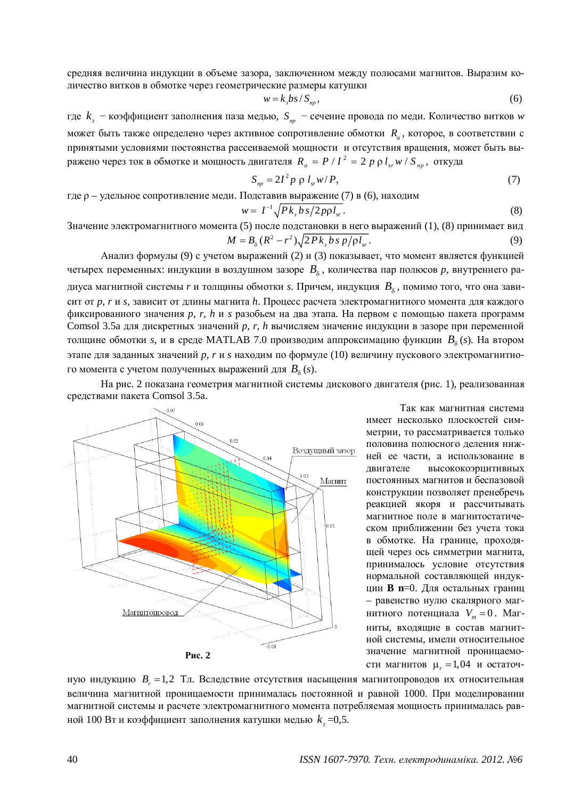средняя величина индукции в объеме зазора, заключенном между полюсами магнитов. Выразим количество витков в обмотке через геометрические размеры катушки

$$
w = k_{\rm s} b s / S_{np},\tag{6}
$$

где  $k_{_3}$  – коэффициент заполнения паза медью,  $S_{_{np}}$  – сечение провода по меди. Количество витков *w* может быть также определено через активное сопротивление обмотки  $R_a$ , которое, в соответствии с принятыми условиями постоянства рассеиваемой мощности и отсутствия вращения, может быть выражено через ток в обмотке и мощность двигателя  $R_a = P / I^2 = 2 p \rho l_{sr} w / S_{np}$ , откуда

$$
S_{np} = 2I^2 p \rho l_{sr} w / P, \qquad (7)
$$

где р – удельное сопротивление меди. Подставив выражение (7) в (6), находим

$$
w = I^{-1} \sqrt{P k_s \, \frac{b \, s}{2 \, p \rho \, l_{sr}}}. \tag{8}
$$

Значение электромагнитного момента (5) после подстановки в него выражений (1), (8) принимает вид

$$
M = B_{\delta} (R^2 - r^2) \sqrt{2 P k_s b s p / \rho l_{sr}}.
$$
\n(9)

Анализ формулы (9) с учетом выражений (2) и (3) показывает, что момент является функцией четырех переменных: индукции в воздушном зазоре  $B_\delta$ , количества пар полюсов  $p$ , внутреннего радиуса магнитной системы *r* и толщины обмотки *s*. Причем, индукция  $\, B_{_\delta} \,$ , помимо того, что она зависит от р, *r* и *s*, зависит от длины магнита *h*. Процесс расчета электромагнитного момента для каждого фиксированного значения *p*, *r*, *h* и *s* разобьем на два этапа. На первом с помощью пакета программ Comsol 3.5а для дискретных значений р, r, h вычисляем значение индукции в зазоре при переменной толщине обмотки *s*, и в среде MATLAB 7.0 производим аппроксимацию функции  $B_\delta$  (*s*). На втором этапе для заданных значений p, r и s находим по формуле (10) величину пускового электромагнитного момента с учетом полученных выражений для  $B_\delta\left(s\right)$ .

На рис. 2 показана геометрия магнитной системы дискового двигателя (рис. 1), реализованная средствами пакета Comsol 3.5a.



Так как магнитная система имеет несколько плоскостей симметрии, то рассматривается только половина полюсного деления нижней ее части, а использование в двигателе высококоэрцитивных постоянных магнитов и беспазовой конструкции позволяет пренебречь реакцией якоря и рассчитывать магнитное поле в магнитостатическом приближении без учета тока в обмотке. На границе, проходящей через ось симметрии магнита, принималось условие отсутствия нормальной составляющей индукщии **B** n=0. Для остальных границ – равенство нулю скалярного магнитного потенциала  $V_m = 0$ . Магниты, входящие в состав магнитной системы, имели относительное значение магнитной проницаемости магнитов  $\mu_r = 1,04$  и остаточ-

ную индукцию  $B_r = 1,2$  Тл. Вследствие отсутствия насыщения магнитопроводов их относительная величина магнитной проницаемости принималась постоянной и равной 1000. При моделировании магнитной системы и расчете электромагнитного момента потребляемая мощность принималась равной 100 Вт и коэффициент заполнения катушки медью  $k_{\scriptscriptstyle{3}}$  =0,5.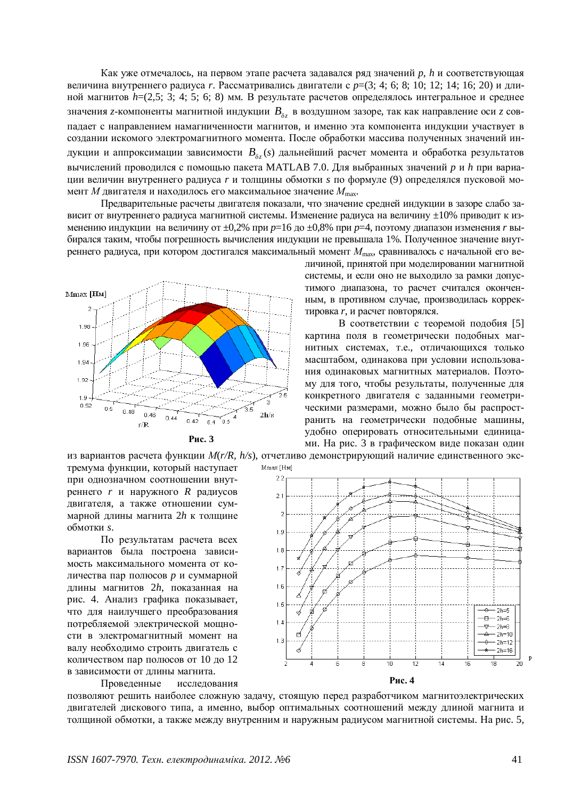Как уже отмечалось, на первом этапе расчета задавался ряд значений *р*, *h* и соответствующая величина внутреннего радиуса *г*. Рассматривались двигатели с  $p=(3; 4; 6; 8; 10; 12; 14; 16; 20)$  и длиной магнитов  $h=(2,5; 3; 4; 5; 6; 8)$  мм. В результате расчетов определялось интегральное и среднее значения z-компоненты магнитной индукции  $B_{\delta z}$  в воздушном зазоре, так как направление оси z совпадает с направлением намагниченности магнитов, и именно эта компонента индукции участвует в создании искомого электромагнитного момента. После обработки массива полученных значений индукции и аппроксимации зависимости  $B_{\delta z}(s)$  дальнейший расчет момента и обработка результатов вычислений проводился с помощью пакета MATLAB 7.0. Для выбранных значений р и h при вариации величин внутреннего радиуса *г* и толщины обмотки *s* по формуле (9) определялся пусковой момент *М* двигателя и находилось его максимальное значение  $M_{\text{max}}$ .

Предварительные расчеты двигателя показали, что значение средней индукции в зазоре слабо зависит от внутреннего радиуса магнитной системы. Изменение радиуса на величину  $\pm 10\%$  приводит к изменению индукции на величину от ±0,2% при  $p=16$  до ±0,8% при  $p=4$ , поэтому диапазон изменения *r* выбирался таким, чтобы погрешность вычисления индукции не превышала 1%. Полученное значение внутреннего радиуса, при котором достигался максимальный момент  $M_{\text{max}}$ , сравнивалось с начальной его ве-





личиной, принятой при моделировании магнитной системы, и если оно не выходило за рамки допустимого диапазона, то расчет считался оконченным, в противном случае, производилась корректировка *r*, и расчет повторялся.

В соответствии с теоремой подобия [5] картина поля в геометрически полобных магнитных системах, т.е., отличающихся только масштабом, одинакова при условии использования одинаковых магнитных материалов. Поэтому для того, чтобы результаты, полученные для конкретного двигателя с заданными геометрическими размерами, можно было бы распространить на геометрически подобные машины, удобно оперировать относительными единицами. На рис. 3 в графическом виде показан один

из вариантов расчета функции  $M(r/R, h/s)$ , отчетливо демонстрирующий наличие единственного экс-Mmax [HM] тремума функции, который наступает

при однозначном соотношении внутреннего *r* и наружного *R* радиусов двигателя, а также отношении суммарной длины магнита 2h к толщине  $66$ мотки *s*.

По результатам расчета всех вариантов была построена зависимость максимального момента от количества пар полюсов *p* и суммарной длины магнитов 2h, показанная на рис. 4. Анализ графика показывает. что для наилучшего преобразования потребляемой электрической мошности в электромагнитный момент на валу необходимо строить двигатель с количеством пар полюсов от 10 до 12 в зависимости от ллины магнита.

Проведенные исследования



позволяют решить наиболее сложную задачу, стоящую перед разработчиком магнитоэлектрических двигателей дискового типа, а именно, выбор оптимальных соотношений между длиной магнита и толщиной обмотки, а также между внутренним и наружным радиусом магнитной системы. На рис. 5,

 $\mathbf{p}$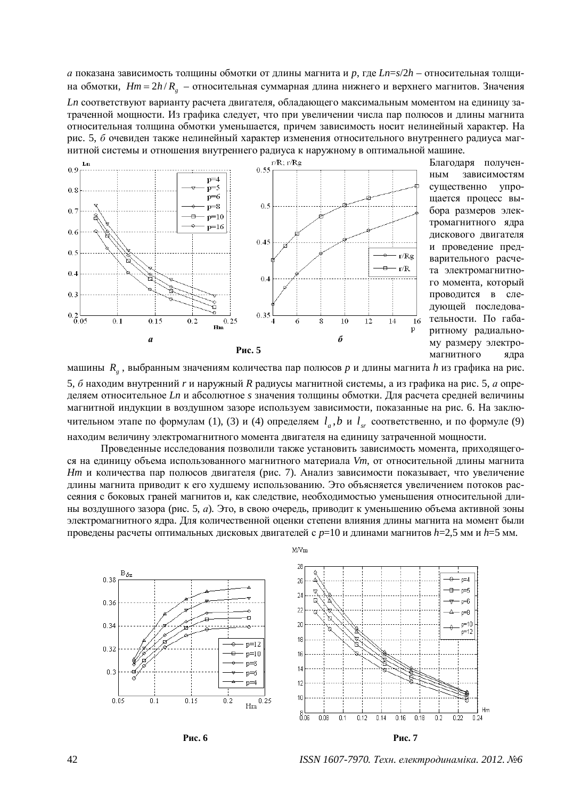*а* показана зависимость толщины обмотки от длины магнита и р, где Ln=s/2h – относительная толщина обмотки,  $Hm = 2h/R<sub>g</sub>$  – относительная суммарная длина нижнего и верхнего магнитов. Значения

*Ln* соответствуют варианту расчета двигателя, обладающего максимальным моментом на единицу затраченной мощности. Из графика следует, что при увеличении числа пар полюсов и длины магнита относительная толщина обмотки уменьшается, причем зависимость носит нелинейный характер. На рис. 5, *б* очевиден также нелинейный характер изменения относительного внутреннего радиуса магнитной системы и отношения внутреннего радиуса к наружному в оптимальной машине.



Благоларя полученным зависимостям существенно упрощается процесс выбора размеров электромагнитного ядра дискового двигателя и проведение предварительного расчета электромагнитного момента, который проводится в следующей последовательности. По габаритному радиальному размеру электромагнитного ядра

машины R<sub>g</sub>, выбранным значениям количества пар полюсов *р* и длины магнита h из графика на рис. 5, б находим внутренний *r* и наружный R радиусы магнитной системы, а из графика на рис. 5, *а* определяем относительное Ln и абсолютное *s* значения толщины обмотки. Для расчета средней величины магнитной индукции в воздушном зазоре используем зависимости, показанные на рис. 6. На заклю-

чительном этапе по формулам (1), (3) и (4) определяем  $l_a$ , *b* и  $l_s$  соответственно, и по формуле (9) нахолим величину электромагнитного момента лвигателя на елиницу затраченной мошности. Проведенные исследования позволили также установить зависимость момента, приходящего-

ся на единицу объема использованного магнитного материала Vm, от относительной длины магнита *Hm* и количества пар полюсов двигателя (рис. 7). Анализ зависимости показывает, что увеличение длины магнита приводит к его худшему использованию. Это объясняется увеличением потоков рассеяния с боковых граней магнитов и, как следствие, необходимостью уменьшения относительной длины воздушного зазора (рис. 5, *а*). Это, в свою очередь, приводит к уменьшению объема активной зоны электромагнитного ядра. Для количественной оценки степени влияния длины магнита на момент были проведены расчеты оптимальных дисковых двигателей с  $p=10$  и длинами магнитов  $h=2,5$  мм и  $h=5$  мм.





**Puc. 6 Puc. 7** 

*ISSN 1607-7970. Техн. електродинаміка. 2012. №6*